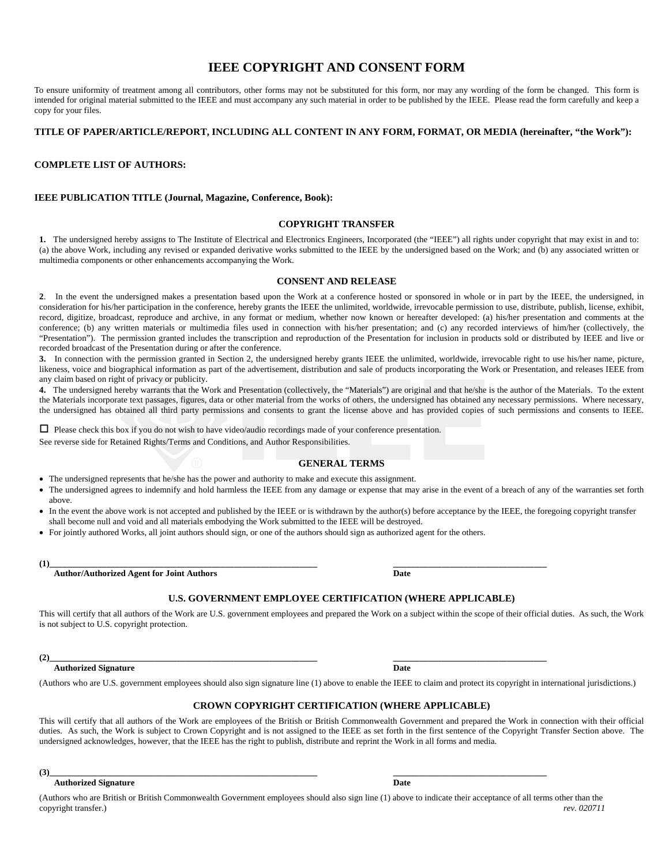# **IEEE COPYRIGHT AND CONSENT FORM**

To ensure uniformity of treatment among all contributors, other forms may not be substituted for this form, nor may any wording of the form be changed. This form is intended for original material submitted to the IEEE and must accompany any such material in order to be published by the IEEE. Please read the form carefully and keep a copy for your files.

## **TITLE OF PAPER/ARTICLE/REPORT, INCLUDING ALL CONTENT IN ANY FORM, FORMAT, OR MEDIA (hereinafter, "the Work"):**

### **COMPLETE LIST OF AUTHORS:**

# **IEEE PUBLICATION TITLE (Journal, Magazine, Conference, Book):**

#### **COPYRIGHT TRANSFER**

**1.** The undersigned hereby assigns to The Institute of Electrical and Electronics Engineers, Incorporated (the "IEEE") all rights under copyright that may exist in and to: (a) the above Work, including any revised or expanded derivative works submitted to the IEEE by the undersigned based on the Work; and (b) any associated written or multimedia components or other enhancements accompanying the Work.

### **CONSENT AND RELEASE**

**2**. In the event the undersigned makes a presentation based upon the Work at a conference hosted or sponsored in whole or in part by the IEEE, the undersigned, in consideration for his/her participation in the conference, hereby grants the IEEE the unlimited, worldwide, irrevocable permission to use, distribute, publish, license, exhibit, record, digitize, broadcast, reproduce and archive, in any format or medium, whether now known or hereafter developed: (a) his/her presentation and comments at the conference; (b) any written materials or multimedia files used in connection with his/her presentation; and (c) any recorded interviews of him/her (collectively, the "Presentation"). The permission granted includes the transcription and reproduction of the Presentation for inclusion in products sold or distributed by IEEE and live or recorded broadcast of the Presentation during or after the conference.

**3.** In connection with the permission granted in Section 2, the undersigned hereby grants IEEE the unlimited, worldwide, irrevocable right to use his/her name, picture, likeness, voice and biographical information as part of the advertisement, distribution and sale of products incorporating the Work or Presentation, and releases IEEE from any claim based on right of privacy or publicity.

**4.** The undersigned hereby warrants that the Work and Presentation (collectively, the "Materials") are original and that he/she is the author of the Materials. To the extent the Materials incorporate text passages, figures, data or other material from the works of others, the undersigned has obtained any necessary permissions. Where necessary, the undersigned has obtained all third party permissions and consents to grant the license above and has provided copies of such permissions and consents to IEEE.

 $\Box$  Please check this box if you do not wish to have video/audio recordings made of your conference presentation. See reverse side for Retained Rights/Terms and Conditions, and Author Responsibilities.

#### **GENERAL TERMS**

• The undersigned represents that he/she has the power and authority to make and execute this assignment.

- The undersigned agrees to indemnify and hold harmless the IEEE from any damage or expense that may arise in the event of a breach of any of the warranties set forth above.
- In the event the above work is not accepted and published by the IEEE or is withdrawn by the author(s) before acceptance by the IEEE, the foregoing copyright transfer shall become null and void and all materials embodying the Work submitted to the IEEE will be destroyed.
- For jointly authored Works, all joint authors should sign, or one of the authors should sign as authorized agent for the others.

 $(1)$   $\qquad \qquad$ 

 **Author/Authorized Agent for Joint Authors Date** 

### **U.S. GOVERNMENT EMPLOYEE CERTIFICATION (WHERE APPLICABLE)**

This will certify that all authors of the Work are U.S. government employees and prepared the Work on a subject within the scope of their official duties. As such, the Work is not subject to U.S. copyright protection.

 $(2)$   $\overline{\phantom{a}}$ 

**Authorized Signature Date 2018 19:30 Properties Authorized Signature Date** 

(Authors who are U.S. government employees should also sign signature line (1) above to enable the IEEE to claim and protect its copyright in international jurisdictions.)

### **CROWN COPYRIGHT CERTIFICATION (WHERE APPLICABLE)**

This will certify that all authors of the Work are employees of the British or British Commonwealth Government and prepared the Work in connection with their official duties. As such, the Work is subject to Crown Copyright and is not assigned to the IEEE as set forth in the first sentence of the Copyright Transfer Section above. The undersigned acknowledges, however, that the IEEE has the right to publish, distribute and reprint the Work in all forms and media.

**(3)\_\_\_\_\_\_\_\_\_\_\_\_\_\_\_\_\_\_\_\_\_\_\_\_\_\_\_\_\_\_\_\_\_\_\_\_\_\_\_\_\_\_\_\_\_\_\_\_\_\_\_\_\_\_\_\_\_\_\_\_\_ \_\_\_\_\_\_\_\_\_\_\_\_\_\_\_\_\_\_\_\_\_\_\_\_\_\_\_\_\_\_\_\_\_\_\_** 

#### **Authorized Signature Date**

(Authors who are British or British Commonwealth Government employees should also sign line (1) above to indicate their acceptance of all terms other than the copyright transfer.) *rev. 020711*